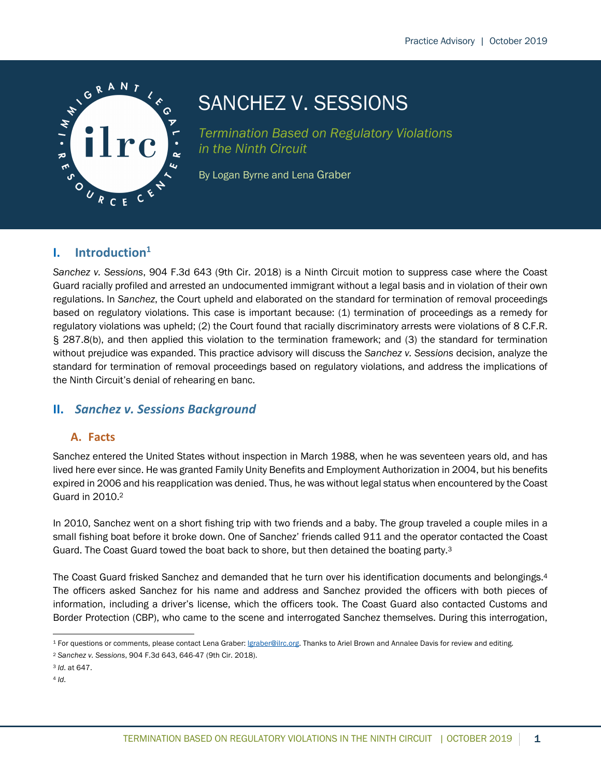

# SANCHEZ V. SESSIONS

*Termination Based on Regulatory Violations in the Ninth Circuit*

By Logan Byrne and Lena Graber

## **I. Introduction1**

*Sanchez v. Sessions*, 904 F.3d 643 (9th Cir. 2018) is a Ninth Circuit motion to suppress case where the Coast Guard racially profiled and arrested an undocumented immigrant without a legal basis and in violation of their own regulations. In *Sanchez*, the Court upheld and elaborated on the standard for termination of removal proceedings based on regulatory violations. This case is important because: (1) termination of proceedings as a remedy for regulatory violations was upheld; (2) the Court found that racially discriminatory arrests were violations of 8 C.F.R. § 287.8(b), and then applied this violation to the termination framework; and (3) the standard for termination without prejudice was expanded. This practice advisory will discuss the *Sanchez v. Sessions* decision, analyze the standard for termination of removal proceedings based on regulatory violations, and address the implications of the Ninth Circuit's denial of rehearing en banc.

## **II.** *Sanchez v. Sessions Background*

### **A. Facts**

Sanchez entered the United States without inspection in March 1988, when he was seventeen years old, and has lived here ever since. He was granted Family Unity Benefits and Employment Authorization in 2004, but his benefits expired in 2006 and his reapplication was denied. Thus, he was without legal status when encountered by the Coast Guard in 2010.2

In 2010, Sanchez went on a short fishing trip with two friends and a baby. The group traveled a couple miles in a small fishing boat before it broke down. One of Sanchez' friends called 911 and the operator contacted the Coast Guard. The Coast Guard towed the boat back to shore, but then detained the boating party.3

The Coast Guard frisked Sanchez and demanded that he turn over his identification documents and belongings.4 The officers asked Sanchez for his name and address and Sanchez provided the officers with both pieces of information, including a driver's license, which the officers took. The Coast Guard also contacted Customs and Border Protection (CBP), who came to the scene and interrogated Sanchez themselves. During this interrogation,

<sup>&</sup>lt;sup>1</sup> For questions or comments, please contact Lena Graber: *graber@ilrc.org*. Thanks to Ariel Brown and Annalee Davis for review and editing.

<sup>2</sup> *Sanchez v. Sessions*, 904 F.3d 643, 646-47 (9th Cir. 2018).

<sup>3</sup> *Id*. at 647.

<sup>4</sup> *Id*.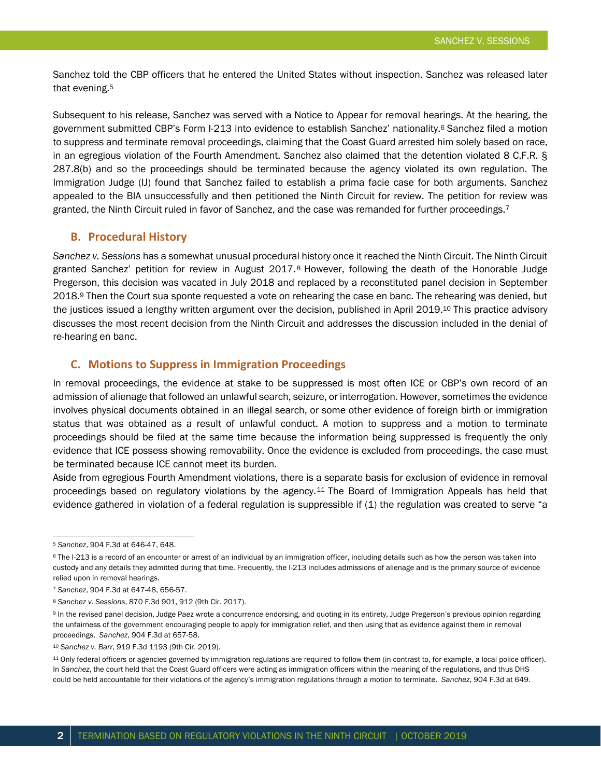Sanchez told the CBP officers that he entered the United States without inspection. Sanchez was released later that evening.5

Subsequent to his release, Sanchez was served with a Notice to Appear for removal hearings. At the hearing, the government submitted CBP's Form I-213 into evidence to establish Sanchez' nationality.6 Sanchez filed a motion to suppress and terminate removal proceedings, claiming that the Coast Guard arrested him solely based on race, in an egregious violation of the Fourth Amendment. Sanchez also claimed that the detention violated 8 C.F.R. § 287.8(b) and so the proceedings should be terminated because the agency violated its own regulation. The Immigration Judge (IJ) found that Sanchez failed to establish a prima facie case for both arguments. Sanchez appealed to the BIA unsuccessfully and then petitioned the Ninth Circuit for review. The petition for review was granted, the Ninth Circuit ruled in favor of Sanchez, and the case was remanded for further proceedings.<sup>7</sup>

#### **B. Procedural History**

*Sanchez v. Sessions* has a somewhat unusual procedural history once it reached the Ninth Circuit. The Ninth Circuit granted Sanchez' petition for review in August 2017.8 However, following the death of the Honorable Judge Pregerson, this decision was vacated in July 2018 and replaced by a reconstituted panel decision in September 2018.9 Then the Court sua sponte requested a vote on rehearing the case en banc. The rehearing was denied, but the justices issued a lengthy written argument over the decision, published in April 2019.10 This practice advisory discusses the most recent decision from the Ninth Circuit and addresses the discussion included in the denial of re-hearing en banc.

### **C. Motions to Suppress in Immigration Proceedings**

In removal proceedings, the evidence at stake to be suppressed is most often ICE or CBP's own record of an admission of alienage that followed an unlawful search, seizure, or interrogation. However, sometimes the evidence involves physical documents obtained in an illegal search, or some other evidence of foreign birth or immigration status that was obtained as a result of unlawful conduct. A motion to suppress and a motion to terminate proceedings should be filed at the same time because the information being suppressed is frequently the only evidence that ICE possess showing removability. Once the evidence is excluded from proceedings, the case must be terminated because ICE cannot meet its burden.

Aside from egregious Fourth Amendment violations, there is a separate basis for exclusion of evidence in removal proceedings based on regulatory violations by the agency.11 The Board of Immigration Appeals has held that evidence gathered in violation of a federal regulation is suppressible if (1) the regulation was created to serve "a

<sup>5</sup> *Sanchez*, 904 F.3d at 646-47, 648.

<sup>&</sup>lt;sup>6</sup> The I-213 is a record of an encounter or arrest of an individual by an immigration officer, including details such as how the person was taken into custody and any details they admitted during that time. Frequently, the I-213 includes admissions of alienage and is the primary source of evidence relied upon in removal hearings.

<sup>7</sup> *Sanchez*, 904 F.3d at 647-48, 656-57.

<sup>8</sup> *Sanchez v. Sessions*, 870 F.3d 901, 912 (9th Cir. 2017).

<sup>9</sup> In the revised panel decision, Judge Paez wrote a concurrence endorsing, and quoting in its entirety, Judge Pregerson's previous opinion regarding the unfairness of the government encouraging people to apply for immigration relief, and then using that as evidence against them in removal proceedings. *Sanchez*, 904 F.3d at 657-58.

<sup>10</sup> *Sanchez v. Barr*, 919 F.3d 1193 (9th Cir. 2019).

<sup>11</sup> Only federal officers or agencies governed by immigration regulations are required to follow them (in contrast to, for example, a local police officer). In *Sanchez*, the court held that the Coast Guard officers were acting as immigration officers within the meaning of the regulations, and thus DHS could be held accountable for their violations of the agency's immigration regulations through a motion to terminate. *Sanchez*, 904 F.3d at 649.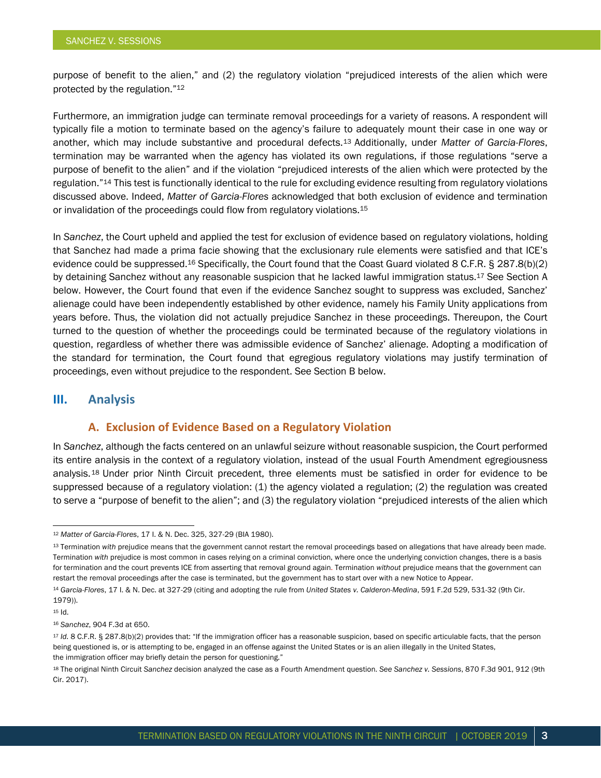purpose of benefit to the alien," and (2) the regulatory violation "prejudiced interests of the alien which were protected by the regulation."12

Furthermore, an immigration judge can terminate removal proceedings for a variety of reasons. A respondent will typically file a motion to terminate based on the agency's failure to adequately mount their case in one way or another, which may include substantive and procedural defects.13 Additionally, under *Matter of Garcia-Flores*, termination may be warranted when the agency has violated its own regulations, if those regulations "serve a purpose of benefit to the alien" and if the violation "prejudiced interests of the alien which were protected by the regulation."14 This test is functionally identical to the rule for excluding evidence resulting from regulatory violations discussed above. Indeed, *Matter of Garcia-Flores* acknowledged that both exclusion of evidence and termination or invalidation of the proceedings could flow from regulatory violations.15

In *Sanchez*, the Court upheld and applied the test for exclusion of evidence based on regulatory violations, holding that Sanchez had made a prima facie showing that the exclusionary rule elements were satisfied and that ICE's evidence could be suppressed.<sup>16</sup> Specifically, the Court found that the Coast Guard violated 8 C.F.R. § 287.8(b)(2) by detaining Sanchez without any reasonable suspicion that he lacked lawful immigration status.17 See Section A below. However, the Court found that even if the evidence Sanchez sought to suppress was excluded, Sanchez' alienage could have been independently established by other evidence, namely his Family Unity applications from years before. Thus, the violation did not actually prejudice Sanchez in these proceedings. Thereupon, the Court turned to the question of whether the proceedings could be terminated because of the regulatory violations in question, regardless of whether there was admissible evidence of Sanchez' alienage. Adopting a modification of the standard for termination, the Court found that egregious regulatory violations may justify termination of proceedings, even without prejudice to the respondent. See Section B below.

#### **III. Analysis**

#### **A. Exclusion of Evidence Based on a Regulatory Violation**

In *Sanchez*, although the facts centered on an unlawful seizure without reasonable suspicion, the Court performed its entire analysis in the context of a regulatory violation, instead of the usual Fourth Amendment egregiousness analysis.18 Under prior Ninth Circuit precedent, three elements must be satisfied in order for evidence to be suppressed because of a regulatory violation: (1) the agency violated a regulation; (2) the regulation was created to serve a "purpose of benefit to the alien"; and (3) the regulatory violation "prejudiced interests of the alien which

<sup>12</sup> *Matter of Garcia-Flores*, 17 I. & N. Dec. 325, 327-29 (BIA 1980).

<sup>&</sup>lt;sup>13</sup> Termination with prejudice means that the government cannot restart the removal proceedings based on allegations that have already been made. Termination *with* prejudice is most common in cases relying on a criminal conviction, where once the underlying conviction changes, there is a basis for termination and the court prevents ICE from asserting that removal ground again. Termination *without* prejudice means that the government can restart the removal proceedings after the case is terminated, but the government has to start over with a new Notice to Appear.

<sup>14</sup> *Garcia-Flores*, 17 I. & N. Dec. at 327-29 (citing and adopting the rule from *United States v. Calderon-Medina*, 591 F.2d 529, 531-32 (9th Cir. 1979)).

<sup>15</sup> Id.

<sup>16</sup> *Sanchez*, 904 F.3d at 650.

<sup>17</sup> *Id.* 8 C.F.R. § 287.8(b)(2) provides that: "If the immigration officer has a reasonable suspicion, based on specific articulable facts, that the person being questioned is, or is attempting to be, engaged in an offense against the United States or is an alien illegally in the United States, the immigration officer may briefly detain the person for questioning."

<sup>18</sup> The original Ninth Circuit *Sanchez* decision analyzed the case as a Fourth Amendment question. *See Sanchez v. Sessions*, 870 F.3d 901, 912 (9th Cir. 2017).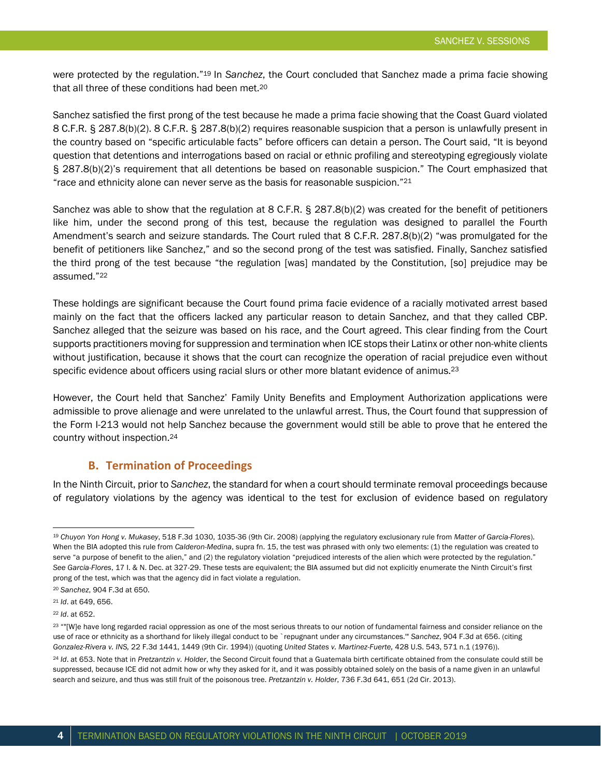were protected by the regulation."19 In *Sanchez*, the Court concluded that Sanchez made a prima facie showing that all three of these conditions had been met.20

Sanchez satisfied the first prong of the test because he made a prima facie showing that the Coast Guard violated 8 C.F.R. § 287.8(b)(2). 8 C.F.R. § 287.8(b)(2) requires reasonable suspicion that a person is unlawfully present in the country based on "specific articulable facts" before officers can detain a person. The Court said, "It is beyond question that detentions and interrogations based on racial or ethnic profiling and stereotyping egregiously violate § 287.8(b)(2)'s requirement that all detentions be based on reasonable suspicion." The Court emphasized that "race and ethnicity alone can never serve as the basis for reasonable suspicion."21

Sanchez was able to show that the regulation at 8 C.F.R. § 287.8(b)(2) was created for the benefit of petitioners like him, under the second prong of this test, because the regulation was designed to parallel the Fourth Amendment's search and seizure standards. The Court ruled that 8 C.F.R. 287.8(b)(2) "was promulgated for the benefit of petitioners like Sanchez," and so the second prong of the test was satisfied. Finally, Sanchez satisfied the third prong of the test because "the regulation [was] mandated by the Constitution, [so] prejudice may be assumed."22

These holdings are significant because the Court found prima facie evidence of a racially motivated arrest based mainly on the fact that the officers lacked any particular reason to detain Sanchez, and that they called CBP. Sanchez alleged that the seizure was based on his race, and the Court agreed. This clear finding from the Court supports practitioners moving for suppression and termination when ICE stops their Latinx or other non-white clients without justification, because it shows that the court can recognize the operation of racial prejudice even without specific evidence about officers using racial slurs or other more blatant evidence of animus.<sup>23</sup>

However, the Court held that Sanchez' Family Unity Benefits and Employment Authorization applications were admissible to prove alienage and were unrelated to the unlawful arrest. Thus, the Court found that suppression of the Form I-213 would not help Sanchez because the government would still be able to prove that he entered the country without inspection.24

### **B. Termination of Proceedings**

In the Ninth Circuit, prior to *Sanchez*, the standard for when a court should terminate removal proceedings because of regulatory violations by the agency was identical to the test for exclusion of evidence based on regulatory

<sup>19</sup> *Chuyon Yon Hong v. Mukasey*, 518 F.3d 1030, 1035-36 (9th Cir. 2008) (applying the regulatory exclusionary rule from *Matter of Garcia-Flores*). When the BIA adopted this rule from *Calderon-Medina*, supra fn. 15, the test was phrased with only two elements: (1) the regulation was created to serve "a purpose of benefit to the alien," and (2) the regulatory violation "prejudiced interests of the alien which were protected by the regulation." *See Garcia-Flores*, 17 I. & N. Dec. at 327-29. These tests are equivalent; the BIA assumed but did not explicitly enumerate the Ninth Circuit's first prong of the test, which was that the agency did in fact violate a regulation.

<sup>20</sup> *Sanchez*, 904 F.3d at 650.

<sup>21</sup> *Id*. at 649, 656.

<sup>22</sup> *Id*. at 652.

<sup>23 &</sup>quot;"[W]e have long regarded racial oppression as one of the most serious threats to our notion of fundamental fairness and consider reliance on the use of race or ethnicity as a shorthand for likely illegal conduct to be `repugnant under any circumstances.'" *Sanchez*, 904 F.3d at 656. (citing *Gonzalez-Rivera v. INS,* 22 F.3d 1441, 1449 (9th Cir. 1994)) (quoting *United States v. Martinez-Fuerte,* 428 U.S. 543, 571 n.1 (1976)).

<sup>24</sup> *Id*. at 653. Note that in *Pretzantzin v. Holder*, the Second Circuit found that a Guatemala birth certificate obtained from the consulate could still be suppressed, because ICE did not admit how or why they asked for it, and it was possibly obtained solely on the basis of a name given in an unlawful search and seizure, and thus was still fruit of the poisonous tree. *Pretzantzin v. Holder*, 736 F.3d 641, 651 (2d Cir. 2013).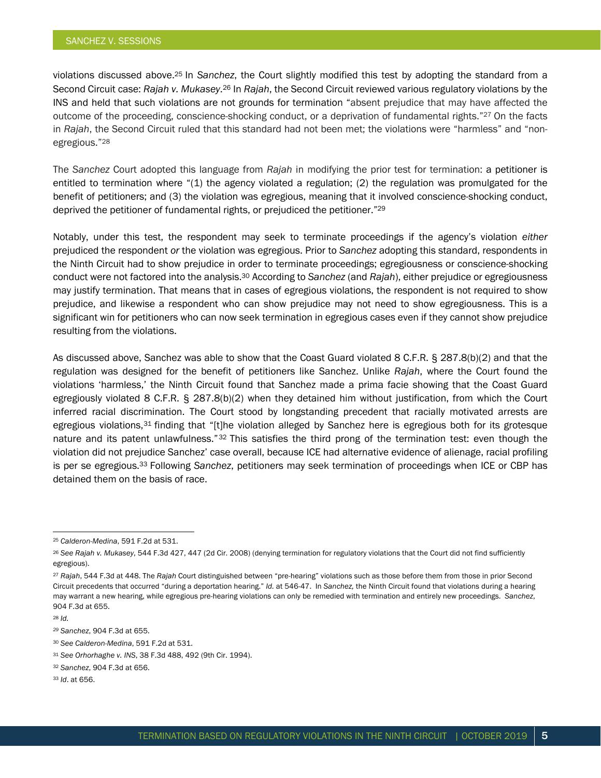violations discussed above.25 In *Sanchez*, the Court slightly modified this test by adopting the standard from a Second Circuit case: *Rajah v. Mukasey*.26 In *Rajah*, the Second Circuit reviewed various regulatory violations by the INS and held that such violations are not grounds for termination "absent prejudice that may have affected the outcome of the proceeding, conscience-shocking conduct, or a deprivation of fundamental rights."27 On the facts in *Rajah*, the Second Circuit ruled that this standard had not been met; the violations were "harmless" and "nonegregious."28

The *Sanchez* Court adopted this language from *Rajah* in modifying the prior test for termination: a petitioner is entitled to termination where "(1) the agency violated a regulation; (2) the regulation was promulgated for the benefit of petitioners; and (3) the violation was egregious, meaning that it involved conscience-shocking conduct, deprived the petitioner of fundamental rights, or prejudiced the petitioner."29

Notably, under this test, the respondent may seek to terminate proceedings if the agency's violation *either*  prejudiced the respondent *or* the violation was egregious. Prior to *Sanchez* adopting this standard, respondents in the Ninth Circuit had to show prejudice in order to terminate proceedings; egregiousness or conscience-shocking conduct were not factored into the analysis.30 According to *Sanchez* (and *Rajah*), either prejudice or egregiousness may justify termination. That means that in cases of egregious violations, the respondent is not required to show prejudice, and likewise a respondent who can show prejudice may not need to show egregiousness. This is a significant win for petitioners who can now seek termination in egregious cases even if they cannot show prejudice resulting from the violations.

As discussed above, Sanchez was able to show that the Coast Guard violated 8 C.F.R. § 287.8(b)(2) and that the regulation was designed for the benefit of petitioners like Sanchez. Unlike *Rajah*, where the Court found the violations 'harmless,' the Ninth Circuit found that Sanchez made a prima facie showing that the Coast Guard egregiously violated 8 C.F.R. § 287.8(b)(2) when they detained him without justification, from which the Court inferred racial discrimination. The Court stood by longstanding precedent that racially motivated arrests are egregious violations,<sup>31</sup> finding that "[t]he violation alleged by Sanchez here is egregious both for its grotesque nature and its patent unlawfulness."32 This satisfies the third prong of the termination test: even though the violation did not prejudice Sanchez' case overall, because ICE had alternative evidence of alienage, racial profiling is per se egregious.33 Following *Sanchez*, petitioners may seek termination of proceedings when ICE or CBP has detained them on the basis of race.

<sup>25</sup> *Calderon-Medina*, 591 F.2d at 531.

<sup>26</sup> *See Rajah v. Mukasey*, 544 F.3d 427, 447 (2d Cir. 2008) (denying termination for regulatory violations that the Court did not find sufficiently egregious).

<sup>27</sup> *Rajah*, 544 F.3d at 448. The *Rajah* Court distinguished between "pre-hearing" violations such as those before them from those in prior Second Circuit precedents that occurred "during a deportation hearing." *Id.* at 546-47. In *Sanchez,* the Ninth Circuit found that violations during a hearing may warrant a new hearing, while egregious pre-hearing violations can only be remedied with termination and entirely new proceedings. *Sanchez*, 904 F.3d at 655.

<sup>28</sup> *Id.*

*<sup>29</sup> Sanchez*, 904 F.3d at 655.

<sup>30</sup> *See Calderon-Medina*, 591 F.2d at 531.

<sup>31</sup> *See Orhorhaghe v. INS*, 38 F.3d 488, 492 (9th Cir. 1994).

<sup>32</sup> *Sanchez*, 904 F.3d at 656.

<sup>33</sup> *Id*. at 656.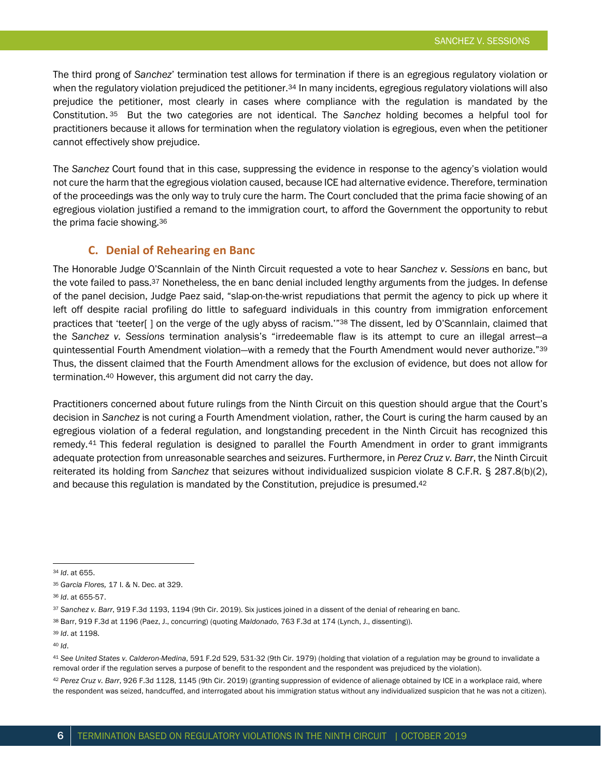The third prong of *Sanchez*' termination test allows for termination if there is an egregious regulatory violation or when the regulatory violation prejudiced the petitioner.<sup>34</sup> In many incidents, egregious regulatory violations will also prejudice the petitioner, most clearly in cases where compliance with the regulation is mandated by the Constitution. <sup>35</sup> But the two categories are not identical. The *Sanchez* holding becomes a helpful tool for practitioners because it allows for termination when the regulatory violation is egregious, even when the petitioner cannot effectively show prejudice.

The *Sanchez* Court found that in this case, suppressing the evidence in response to the agency's violation would not cure the harm that the egregious violation caused, because ICE had alternative evidence. Therefore, termination of the proceedings was the only way to truly cure the harm. The Court concluded that the prima facie showing of an egregious violation justified a remand to the immigration court, to afford the Government the opportunity to rebut the prima facie showing.36

#### **C. Denial of Rehearing en Banc**

The Honorable Judge O'Scannlain of the Ninth Circuit requested a vote to hear *Sanchez v. Sessions* en banc, but the vote failed to pass.<sup>37</sup> Nonetheless, the en banc denial included lengthy arguments from the judges. In defense of the panel decision, Judge Paez said, "slap-on-the-wrist repudiations that permit the agency to pick up where it left off despite racial profiling do little to safeguard individuals in this country from immigration enforcement practices that 'teeter[] on the verge of the ugly abyss of racism.'"<sup>38</sup> The dissent, led by O'Scannlain, claimed that the *Sanchez v. Sessions* termination analysis's "irredeemable flaw is its attempt to cure an illegal arrest—a quintessential Fourth Amendment violation—with a remedy that the Fourth Amendment would never authorize."39 Thus, the dissent claimed that the Fourth Amendment allows for the exclusion of evidence, but does not allow for termination.40 However, this argument did not carry the day.

Practitioners concerned about future rulings from the Ninth Circuit on this question should argue that the Court's decision in *Sanchez* is not curing a Fourth Amendment violation, rather, the Court is curing the harm caused by an egregious violation of a federal regulation, and longstanding precedent in the Ninth Circuit has recognized this remedy.41 This federal regulation is designed to parallel the Fourth Amendment in order to grant immigrants adequate protection from unreasonable searches and seizures. Furthermore, in *Perez Cruz v. Barr*, the Ninth Circuit reiterated its holding from *Sanchez* that seizures without individualized suspicion violate 8 C.F.R. § 287.8(b)(2), and because this regulation is mandated by the Constitution, prejudice is presumed.42

<sup>41</sup> *See United States v. Calderon-Medina*, 591 F.2d 529, 531-32 (9th Cir. 1979) (holding that violation of a regulation may be ground to invalidate a removal order if the regulation serves a purpose of benefit to the respondent and the respondent was prejudiced by the violation).

<sup>42</sup> *Perez Cruz v. Barr*, 926 F.3d 1128, 1145 (9th Cir. 2019) (granting suppression of evidence of alienage obtained by ICE in a workplace raid, where the respondent was seized, handcuffed, and interrogated about his immigration status without any individualized suspicion that he was not a citizen).

<sup>34</sup> *Id*. at 655.

<sup>35</sup> *Garcia Flores,* 17 I. & N. Dec. at 329.

<sup>36</sup> *Id*. at 655-57.

<sup>37</sup> *Sanchez v. Barr*, 919 F.3d 1193, 1194 (9th Cir. 2019). Six justices joined in a dissent of the denial of rehearing en banc.

<sup>38</sup> Barr, 919 F.3d at 1196 (Paez, J., concurring) (quoting *Maldonado*, 763 F.3d at 174 (Lynch, J., dissenting)).

<sup>39</sup> *Id*. at 1198.

<sup>40</sup> *Id*.